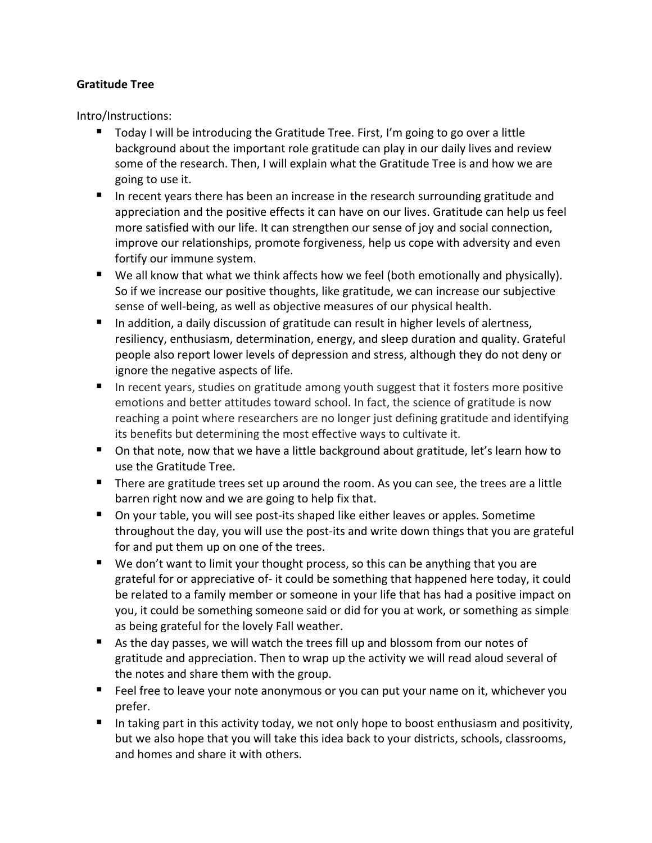## **Gratitude Tree**

Intro/Instructions:

- Today I will be introducing the Gratitude Tree. First, I'm going to go over a little background about the important role gratitude can play in our daily lives and review some of the research. Then, I will explain what the Gratitude Tree is and how we are going to use it.
- In recent years there has been an increase in the research surrounding gratitude and appreciation and the positive effects it can have on our lives. Gratitude can help us feel more satisfied with our life. It can strengthen our sense of joy and social connection, improve our relationships, promote forgiveness, help us cope with adversity and even fortify our immune system.
- We all know that what we think affects how we feel (both emotionally and physically). So if we increase our positive thoughts, like gratitude, we can increase our subjective sense of well-being, as well as objective measures of our physical health.
- In addition, a daily discussion of gratitude can result in higher levels of alertness, resiliency, enthusiasm, determination, energy, and sleep duration and quality. Grateful people also report lower levels of depression and stress, although they do not deny or ignore the negative aspects of life.
- In recent years, studies on gratitude among youth suggest that it fosters more positive emotions and better attitudes toward school. In fact, the science of gratitude is now reaching a point where researchers are no longer just defining gratitude and identifying its benefits but determining the most effective ways to cultivate it.
- On that note, now that we have a little background about gratitude, let's learn how to use the Gratitude Tree.
- There are gratitude trees set up around the room. As you can see, the trees are a little barren right now and we are going to help fix that.
- On your table, you will see post-its shaped like either leaves or apples. Sometime throughout the day, you will use the post-its and write down things that you are grateful for and put them up on one of the trees.
- We don't want to limit your thought process, so this can be anything that you are grateful for or appreciative of- it could be something that happened here today, it could be related to a family member or someone in your life that has had a positive impact on you, it could be something someone said or did for you at work, or something as simple as being grateful for the lovely Fall weather.
- $\blacksquare$  As the day passes, we will watch the trees fill up and blossom from our notes of gratitude and appreciation. Then to wrap up the activity we will read aloud several of the notes and share them with the group.
- Feel free to leave your note anonymous or you can put your name on it, whichever you prefer.
- In taking part in this activity today, we not only hope to boost enthusiasm and positivity, but we also hope that you will take this idea back to your districts, schools, classrooms, and homes and share it with others.